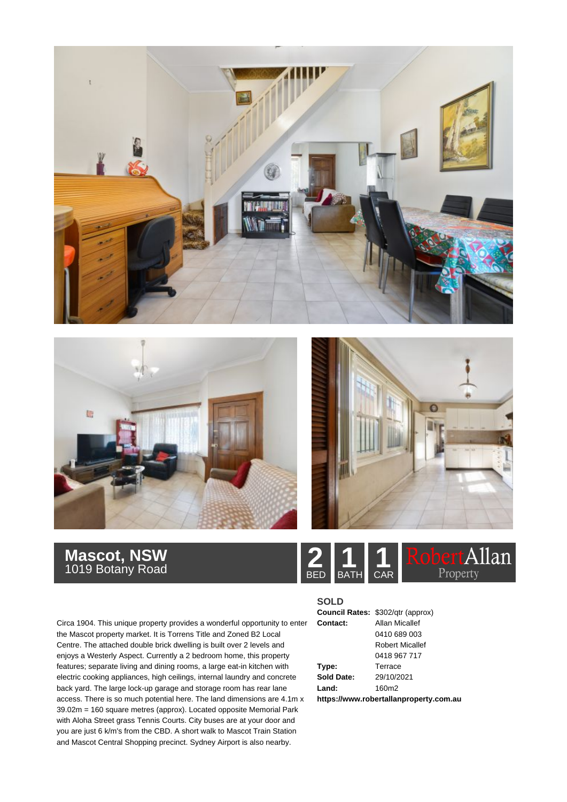





## **Mascot, NSW**<br>1019 Botany Road **2 1 1 1 1 1 1**

Allan Property BED BATH CAR

Circa 1904. This unique property provides a wonderful opportunity to enter the Mascot property market. It is Torrens Title and Zoned B2 Local Centre. The attached double brick dwelling is built over 2 levels and enjoys a Westerly Aspect. Currently a 2 bedroom home, this property features; separate living and dining rooms, a large eat-in kitchen with electric cooking appliances, high ceilings, internal laundry and concrete back yard. The large lock-up garage and storage room has rear lane access. There is so much potential here. The land dimensions are 4.1m x 39.02m = 160 square metres (approx). Located opposite Memorial Park with Aloha Street grass Tennis Courts. City buses are at your door and you are just 6 k/m's from the CBD. A short walk to Mascot Train Station and Mascot Central Shopping precinct. Sydney Airport is also nearby.



**https://www.robertallanproperty.com.au**